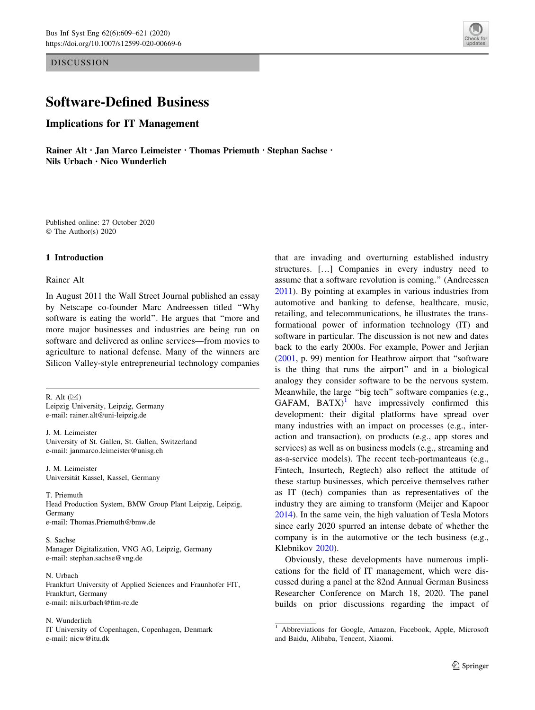DISCUSSION

# Software-Defined Business

Implications for IT Management

Rainer Alt • Jan Marco Leimeister • Thomas Priemuth • Stephan Sachse • Nils Urbach • Nico Wunderlich

Published online: 27 October 2020 © The Author(s) 2020

# 1 Introduction

# Rainer Alt

In August 2011 the Wall Street Journal published an essay by Netscape co-founder Marc Andreessen titled ''Why software is eating the world''. He argues that ''more and more major businesses and industries are being run on software and delivered as online services—from movies to agriculture to national defense. Many of the winners are Silicon Valley-style entrepreneurial technology companies

R. Alt  $(\boxtimes)$ Leipzig University, Leipzig, Germany e-mail: rainer.alt@uni-leipzig.de

J. M. Leimeister University of St. Gallen, St. Gallen, Switzerland e-mail: janmarco.leimeister@unisg.ch

J. M. Leimeister Universität Kassel, Kassel, Germany

T. Priemuth Head Production System, BMW Group Plant Leipzig, Leipzig, Germany e-mail: Thomas.Priemuth@bmw.de

S. Sachse Manager Digitalization, VNG AG, Leipzig, Germany e-mail: stephan.sachse@vng.de

N. Urbach Frankfurt University of Applied Sciences and Fraunhofer FIT, Frankfurt, Germany e-mail: nils.urbach@fim-rc.de

N. Wunderlich IT University of Copenhagen, Copenhagen, Denmark e-mail: nicw@itu.dk

that are invading and overturning established industry structures. […] Companies in every industry need to assume that a software revolution is coming.'' (Andreessen [2011](#page-11-0)). By pointing at examples in various industries from automotive and banking to defense, healthcare, music, retailing, and telecommunications, he illustrates the transformational power of information technology (IT) and software in particular. The discussion is not new and dates back to the early 2000s. For example, Power and Jerjian [\(2001](#page-12-0), p. 99) mention for Heathrow airport that ''software is the thing that runs the airport'' and in a biological analogy they consider software to be the nervous system. Meanwhile, the large "big tech" software companies (e.g., GAFAM,  $BATX)^1$  have impressively confirmed this development: their digital platforms have spread over many industries with an impact on processes (e.g., interaction and transaction), on products (e.g., app stores and services) as well as on business models (e.g., streaming and as-a-service models). The recent tech-portmanteaus (e.g., Fintech, Insurtech, Regtech) also reflect the attitude of these startup businesses, which perceive themselves rather as IT (tech) companies than as representatives of the industry they are aiming to transform (Meijer and Kapoor [2014](#page-12-0)). In the same vein, the high valuation of Tesla Motors since early 2020 spurred an intense debate of whether the company is in the automotive or the tech business (e.g., Klebnikov [2020\)](#page-11-0).

Obviously, these developments have numerous implications for the field of IT management, which were discussed during a panel at the 82nd Annual German Business Researcher Conference on March 18, 2020. The panel builds on prior discussions regarding the impact of



<sup>&</sup>lt;sup>1</sup> Abbreviations for Google, Amazon, Facebook, Apple, Microsoft and Baidu, Alibaba, Tencent, Xiaomi.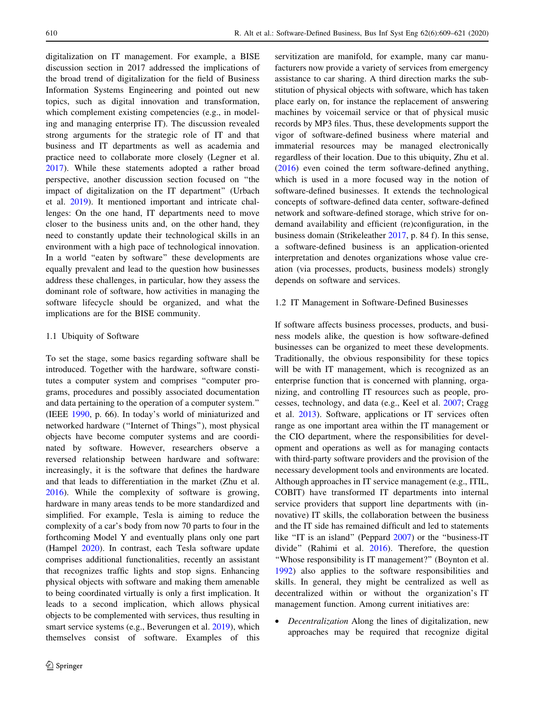digitalization on IT management. For example, a BISE discussion section in 2017 addressed the implications of the broad trend of digitalization for the field of Business Information Systems Engineering and pointed out new topics, such as digital innovation and transformation, which complement existing competencies (e.g., in modeling and managing enterprise IT). The discussion revealed strong arguments for the strategic role of IT and that business and IT departments as well as academia and practice need to collaborate more closely (Legner et al. [2017\)](#page-12-0). While these statements adopted a rather broad perspective, another discussion section focused on ''the impact of digitalization on the IT department'' (Urbach et al. [2019](#page-12-0)). It mentioned important and intricate challenges: On the one hand, IT departments need to move closer to the business units and, on the other hand, they need to constantly update their technological skills in an environment with a high pace of technological innovation. In a world ''eaten by software'' these developments are equally prevalent and lead to the question how businesses address these challenges, in particular, how they assess the dominant role of software, how activities in managing the software lifecycle should be organized, and what the implications are for the BISE community.

# 1.1 Ubiquity of Software

To set the stage, some basics regarding software shall be introduced. Together with the hardware, software constitutes a computer system and comprises ''computer programs, procedures and possibly associated documentation and data pertaining to the operation of a computer system.'' (IEEE [1990,](#page-11-0) p. 66). In today's world of miniaturized and networked hardware (''Internet of Things''), most physical objects have become computer systems and are coordinated by software. However, researchers observe a reversed relationship between hardware and software: increasingly, it is the software that defines the hardware and that leads to differentiation in the market (Zhu et al. [2016\)](#page-12-0). While the complexity of software is growing, hardware in many areas tends to be more standardized and simplified. For example, Tesla is aiming to reduce the complexity of a car's body from now 70 parts to four in the forthcoming Model Y and eventually plans only one part (Hampel [2020\)](#page-11-0). In contrast, each Tesla software update comprises additional functionalities, recently an assistant that recognizes traffic lights and stop signs. Enhancing physical objects with software and making them amenable to being coordinated virtually is only a first implication. It leads to a second implication, which allows physical objects to be complemented with services, thus resulting in smart service systems (e.g., Beverungen et al. [2019](#page-11-0)), which themselves consist of software. Examples of this servitization are manifold, for example, many car manufacturers now provide a variety of services from emergency assistance to car sharing. A third direction marks the substitution of physical objects with software, which has taken place early on, for instance the replacement of answering machines by voicemail service or that of physical music records by MP3 files. Thus, these developments support the vigor of software-defined business where material and immaterial resources may be managed electronically regardless of their location. Due to this ubiquity, Zhu et al. [\(2016](#page-12-0)) even coined the term software-defined anything, which is used in a more focused way in the notion of software-defined businesses. It extends the technological concepts of software-defined data center, software-defined network and software-defined storage, which strive for ondemand availability and efficient (re)configuration, in the business domain (Strikeleather [2017](#page-12-0), p. 84 f). In this sense, a software-defined business is an application-oriented interpretation and denotes organizations whose value creation (via processes, products, business models) strongly depends on software and services.

# 1.2 IT Management in Software-Defined Businesses

If software affects business processes, products, and business models alike, the question is how software-defined businesses can be organized to meet these developments. Traditionally, the obvious responsibility for these topics will be with IT management, which is recognized as an enterprise function that is concerned with planning, organizing, and controlling IT resources such as people, processes, technology, and data (e.g., Keel et al. [2007;](#page-11-0) Cragg et al. [2013\)](#page-11-0). Software, applications or IT services often range as one important area within the IT management or the CIO department, where the responsibilities for development and operations as well as for managing contacts with third-party software providers and the provision of the necessary development tools and environments are located. Although approaches in IT service management (e.g., ITIL, COBIT) have transformed IT departments into internal service providers that support line departments with (innovative) IT skills, the collaboration between the business and the IT side has remained difficult and led to statements like "IT is an island" (Peppard [2007](#page-12-0)) or the "business-IT divide'' (Rahimi et al. [2016\)](#page-12-0). Therefore, the question ''Whose responsibility is IT management?'' (Boynton et al. [1992](#page-11-0)) also applies to the software responsibilities and skills. In general, they might be centralized as well as decentralized within or without the organization's IT management function. Among current initiatives are:

• Decentralization Along the lines of digitalization, new approaches may be required that recognize digital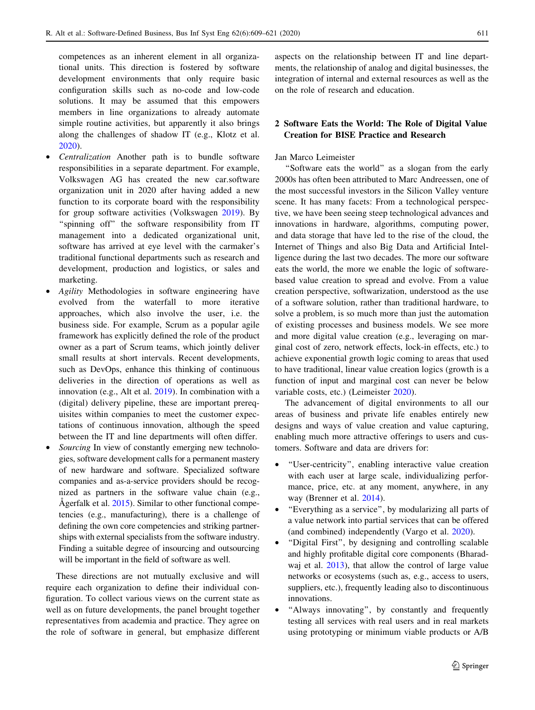competences as an inherent element in all organizational units. This direction is fostered by software development environments that only require basic configuration skills such as no-code and low-code solutions. It may be assumed that this empowers members in line organizations to already automate simple routine activities, but apparently it also brings along the challenges of shadow IT (e.g., Klotz et al. [2020\)](#page-11-0).

- Centralization Another path is to bundle software responsibilities in a separate department. For example, Volkswagen AG has created the new car.software organization unit in 2020 after having added a new function to its corporate board with the responsibility for group software activities (Volkswagen [2019](#page-12-0)). By ''spinning off'' the software responsibility from IT management into a dedicated organizational unit, software has arrived at eye level with the carmaker's traditional functional departments such as research and development, production and logistics, or sales and marketing.
- Agility Methodologies in software engineering have evolved from the waterfall to more iterative approaches, which also involve the user, i.e. the business side. For example, Scrum as a popular agile framework has explicitly defined the role of the product owner as a part of Scrum teams, which jointly deliver small results at short intervals. Recent developments, such as DevOps, enhance this thinking of continuous deliveries in the direction of operations as well as innovation (e.g., Alt et al. [2019\)](#page-11-0). In combination with a (digital) delivery pipeline, these are important prerequisites within companies to meet the customer expectations of continuous innovation, although the speed between the IT and line departments will often differ.
- Sourcing In view of constantly emerging new technologies, software development calls for a permanent mastery of new hardware and software. Specialized software companies and as-a-service providers should be recognized as partners in the software value chain (e.g., Agerfalk et al.  $2015$ ). Similar to other functional competencies (e.g., manufacturing), there is a challenge of defining the own core competencies and striking partnerships with external specialists from the software industry. Finding a suitable degree of insourcing and outsourcing will be important in the field of software as well.

These directions are not mutually exclusive and will require each organization to define their individual configuration. To collect various views on the current state as well as on future developments, the panel brought together representatives from academia and practice. They agree on the role of software in general, but emphasize different aspects on the relationship between IT and line departments, the relationship of analog and digital businesses, the integration of internal and external resources as well as the on the role of research and education.

# 2 Software Eats the World: The Role of Digital Value Creation for BISE Practice and Research

# Jan Marco Leimeister

''Software eats the world'' as a slogan from the early 2000s has often been attributed to Marc Andreessen, one of the most successful investors in the Silicon Valley venture scene. It has many facets: From a technological perspective, we have been seeing steep technological advances and innovations in hardware, algorithms, computing power, and data storage that have led to the rise of the cloud, the Internet of Things and also Big Data and Artificial Intelligence during the last two decades. The more our software eats the world, the more we enable the logic of softwarebased value creation to spread and evolve. From a value creation perspective, softwarization, understood as the use of a software solution, rather than traditional hardware, to solve a problem, is so much more than just the automation of existing processes and business models. We see more and more digital value creation (e.g., leveraging on marginal cost of zero, network effects, lock-in effects, etc.) to achieve exponential growth logic coming to areas that used to have traditional, linear value creation logics (growth is a function of input and marginal cost can never be below variable costs, etc.) (Leimeister [2020](#page-12-0)).

The advancement of digital environments to all our areas of business and private life enables entirely new designs and ways of value creation and value capturing, enabling much more attractive offerings to users and customers. Software and data are drivers for:

- ''User-centricity'', enabling interactive value creation with each user at large scale, individualizing performance, price, etc. at any moment, anywhere, in any way (Brenner et al. [2014](#page-11-0)).
- ''Everything as a service'', by modularizing all parts of a value network into partial services that can be offered (and combined) independently (Vargo et al. [2020](#page-12-0)).
- ''Digital First'', by designing and controlling scalable and highly profitable digital core components (Bharadwaj et al. [2013\)](#page-11-0), that allow the control of large value networks or ecosystems (such as, e.g., access to users, suppliers, etc.), frequently leading also to discontinuous innovations.
- "Always innovating", by constantly and frequently testing all services with real users and in real markets using prototyping or minimum viable products or A/B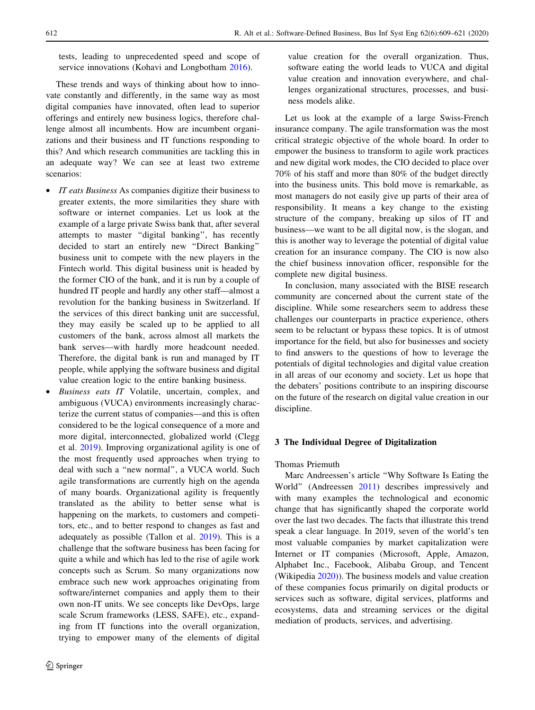tests, leading to unprecedented speed and scope of service innovations (Kohavi and Longbotham [2016\)](#page-11-0).

These trends and ways of thinking about how to innovate constantly and differently, in the same way as most digital companies have innovated, often lead to superior offerings and entirely new business logics, therefore challenge almost all incumbents. How are incumbent organizations and their business and IT functions responding to this? And which research communities are tackling this in an adequate way? We can see at least two extreme scenarios:

- IT eats Business As companies digitize their business to greater extents, the more similarities they share with software or internet companies. Let us look at the example of a large private Swiss bank that, after several attempts to master ''digital banking'', has recently decided to start an entirely new ''Direct Banking'' business unit to compete with the new players in the Fintech world. This digital business unit is headed by the former CIO of the bank, and it is run by a couple of hundred IT people and hardly any other staff—almost a revolution for the banking business in Switzerland. If the services of this direct banking unit are successful, they may easily be scaled up to be applied to all customers of the bank, across almost all markets the bank serves—with hardly more headcount needed. Therefore, the digital bank is run and managed by IT people, while applying the software business and digital value creation logic to the entire banking business.
- Business eats IT Volatile, uncertain, complex, and ambiguous (VUCA) environments increasingly characterize the current status of companies—and this is often considered to be the logical consequence of a more and more digital, interconnected, globalized world (Clegg et al. [2019](#page-11-0)). Improving organizational agility is one of the most frequently used approaches when trying to deal with such a ''new normal'', a VUCA world. Such agile transformations are currently high on the agenda of many boards. Organizational agility is frequently translated as the ability to better sense what is happening on the markets, to customers and competitors, etc., and to better respond to changes as fast and adequately as possible (Tallon et al. [2019\)](#page-12-0). This is a challenge that the software business has been facing for quite a while and which has led to the rise of agile work concepts such as Scrum. So many organizations now embrace such new work approaches originating from software/internet companies and apply them to their own non-IT units. We see concepts like DevOps, large scale Scrum frameworks (LESS, SAFE), etc., expanding from IT functions into the overall organization, trying to empower many of the elements of digital

value creation for the overall organization. Thus, software eating the world leads to VUCA and digital value creation and innovation everywhere, and challenges organizational structures, processes, and business models alike.

Let us look at the example of a large Swiss-French insurance company. The agile transformation was the most critical strategic objective of the whole board. In order to empower the business to transform to agile work practices and new digital work modes, the CIO decided to place over 70% of his staff and more than 80% of the budget directly into the business units. This bold move is remarkable, as most managers do not easily give up parts of their area of responsibility. It means a key change to the existing structure of the company, breaking up silos of IT and business—we want to be all digital now, is the slogan, and this is another way to leverage the potential of digital value creation for an insurance company. The CIO is now also the chief business innovation officer, responsible for the complete new digital business.

In conclusion, many associated with the BISE research community are concerned about the current state of the discipline. While some researchers seem to address these challenges our counterparts in practice experience, others seem to be reluctant or bypass these topics. It is of utmost importance for the field, but also for businesses and society to find answers to the questions of how to leverage the potentials of digital technologies and digital value creation in all areas of our economy and society. Let us hope that the debaters' positions contribute to an inspiring discourse on the future of the research on digital value creation in our discipline.

### 3 The Individual Degree of Digitalization

# Thomas Priemuth

Marc Andreessen's article ''Why Software Is Eating the World'' (Andreessen [2011](#page-11-0)) describes impressively and with many examples the technological and economic change that has significantly shaped the corporate world over the last two decades. The facts that illustrate this trend speak a clear language. In 2019, seven of the world's ten most valuable companies by market capitalization were Internet or IT companies (Microsoft, Apple, Amazon, Alphabet Inc., Facebook, Alibaba Group, and Tencent (Wikipedia [2020\)](#page-12-0)). The business models and value creation of these companies focus primarily on digital products or services such as software, digital services, platforms and ecosystems, data and streaming services or the digital mediation of products, services, and advertising.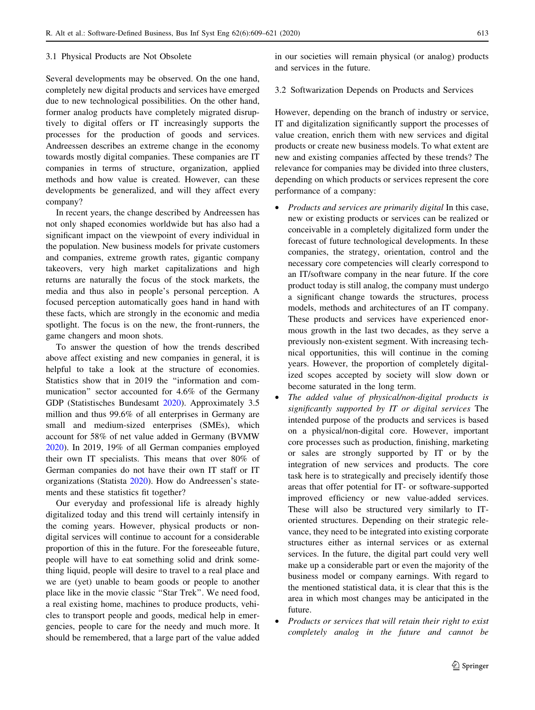#### 3.1 Physical Products are Not Obsolete

Several developments may be observed. On the one hand, completely new digital products and services have emerged due to new technological possibilities. On the other hand, former analog products have completely migrated disruptively to digital offers or IT increasingly supports the processes for the production of goods and services. Andreessen describes an extreme change in the economy towards mostly digital companies. These companies are IT companies in terms of structure, organization, applied methods and how value is created. However, can these developments be generalized, and will they affect every company?

In recent years, the change described by Andreessen has not only shaped economies worldwide but has also had a significant impact on the viewpoint of every individual in the population. New business models for private customers and companies, extreme growth rates, gigantic company takeovers, very high market capitalizations and high returns are naturally the focus of the stock markets, the media and thus also in people's personal perception. A focused perception automatically goes hand in hand with these facts, which are strongly in the economic and media spotlight. The focus is on the new, the front-runners, the game changers and moon shots.

To answer the question of how the trends described above affect existing and new companies in general, it is helpful to take a look at the structure of economies. Statistics show that in 2019 the ''information and communication'' sector accounted for 4.6% of the Germany GDP (Statistisches Bundesamt [2020\)](#page-12-0). Approximately 3.5 million and thus 99.6% of all enterprises in Germany are small and medium-sized enterprises (SMEs), which account for 58% of net value added in Germany (BVMW [2020\)](#page-11-0). In 2019, 19% of all German companies employed their own IT specialists. This means that over 80% of German companies do not have their own IT staff or IT organizations (Statista [2020\)](#page-12-0). How do Andreessen's statements and these statistics fit together?

Our everyday and professional life is already highly digitalized today and this trend will certainly intensify in the coming years. However, physical products or nondigital services will continue to account for a considerable proportion of this in the future. For the foreseeable future, people will have to eat something solid and drink something liquid, people will desire to travel to a real place and we are (yet) unable to beam goods or people to another place like in the movie classic ''Star Trek''. We need food, a real existing home, machines to produce products, vehicles to transport people and goods, medical help in emergencies, people to care for the needy and much more. It should be remembered, that a large part of the value added in our societies will remain physical (or analog) products and services in the future.

## 3.2 Softwarization Depends on Products and Services

However, depending on the branch of industry or service, IT and digitalization significantly support the processes of value creation, enrich them with new services and digital products or create new business models. To what extent are new and existing companies affected by these trends? The relevance for companies may be divided into three clusters, depending on which products or services represent the core performance of a company:

- Products and services are primarily digital In this case, new or existing products or services can be realized or conceivable in a completely digitalized form under the forecast of future technological developments. In these companies, the strategy, orientation, control and the necessary core competencies will clearly correspond to an IT/software company in the near future. If the core product today is still analog, the company must undergo a significant change towards the structures, process models, methods and architectures of an IT company. These products and services have experienced enormous growth in the last two decades, as they serve a previously non-existent segment. With increasing technical opportunities, this will continue in the coming years. However, the proportion of completely digitalized scopes accepted by society will slow down or become saturated in the long term.
- The added value of physical/non-digital products is significantly supported by IT or digital services The intended purpose of the products and services is based on a physical/non-digital core. However, important core processes such as production, finishing, marketing or sales are strongly supported by IT or by the integration of new services and products. The core task here is to strategically and precisely identify those areas that offer potential for IT- or software-supported improved efficiency or new value-added services. These will also be structured very similarly to IToriented structures. Depending on their strategic relevance, they need to be integrated into existing corporate structures either as internal services or as external services. In the future, the digital part could very well make up a considerable part or even the majority of the business model or company earnings. With regard to the mentioned statistical data, it is clear that this is the area in which most changes may be anticipated in the future.
- Products or services that will retain their right to exist completely analog in the future and cannot be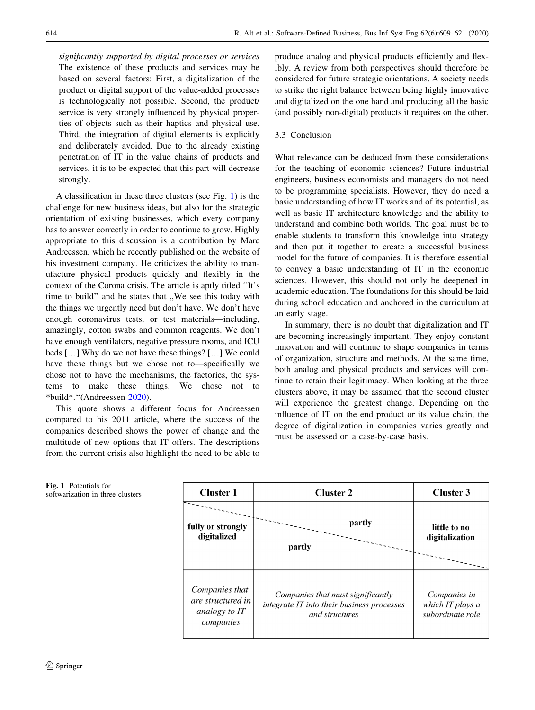significantly supported by digital processes or services The existence of these products and services may be based on several factors: First, a digitalization of the product or digital support of the value-added processes is technologically not possible. Second, the product/ service is very strongly influenced by physical properties of objects such as their haptics and physical use. Third, the integration of digital elements is explicitly and deliberately avoided. Due to the already existing penetration of IT in the value chains of products and services, it is to be expected that this part will decrease strongly.

A classification in these three clusters (see Fig. 1) is the challenge for new business ideas, but also for the strategic orientation of existing businesses, which every company has to answer correctly in order to continue to grow. Highly appropriate to this discussion is a contribution by Marc Andreessen, which he recently published on the website of his investment company. He criticizes the ability to manufacture physical products quickly and flexibly in the context of the Corona crisis. The article is aptly titled ''It's time to build'' and he states that ,,We see this today with the things we urgently need but don't have. We don't have enough coronavirus tests, or test materials—including, amazingly, cotton swabs and common reagents. We don't have enough ventilators, negative pressure rooms, and ICU beds […] Why do we not have these things? […] We could have these things but we chose not to—specifically we chose not to have the mechanisms, the factories, the systems to make these things. We chose not to \*build\*.''(Andreessen [2020\)](#page-11-0).

This quote shows a different focus for Andreessen compared to his 2011 article, where the success of the companies described shows the power of change and the multitude of new options that IT offers. The descriptions from the current crisis also highlight the need to be able to

produce analog and physical products efficiently and flexibly. A review from both perspectives should therefore be considered for future strategic orientations. A society needs to strike the right balance between being highly innovative and digitalized on the one hand and producing all the basic (and possibly non-digital) products it requires on the other.

# 3.3 Conclusion

What relevance can be deduced from these considerations for the teaching of economic sciences? Future industrial engineers, business economists and managers do not need to be programming specialists. However, they do need a basic understanding of how IT works and of its potential, as well as basic IT architecture knowledge and the ability to understand and combine both worlds. The goal must be to enable students to transform this knowledge into strategy and then put it together to create a successful business model for the future of companies. It is therefore essential to convey a basic understanding of IT in the economic sciences. However, this should not only be deepened in academic education. The foundations for this should be laid during school education and anchored in the curriculum at an early stage.

In summary, there is no doubt that digitalization and IT are becoming increasingly important. They enjoy constant innovation and will continue to shape companies in terms of organization, structure and methods. At the same time, both analog and physical products and services will continue to retain their legitimacy. When looking at the three clusters above, it may be assumed that the second cluster will experience the greatest change. Depending on the influence of IT on the end product or its value chain, the degree of digitalization in companies varies greatly and must be assessed on a case-by-case basis.

| <b>Cluster 1</b>                                                    | <b>Cluster 2</b>                                                                                  | <b>Cluster 3</b>                                     |
|---------------------------------------------------------------------|---------------------------------------------------------------------------------------------------|------------------------------------------------------|
| fully or strongly<br>digitalized                                    | partly<br>partly                                                                                  | little to no<br>digitalization                       |
| Companies that<br>are structured in<br>analogy to $IT$<br>companies | Companies that must significantly<br>integrate IT into their business processes<br>and structures | Companies in<br>which IT plays a<br>subordinate role |

Fig. 1 Potentials for softwarization in three clusters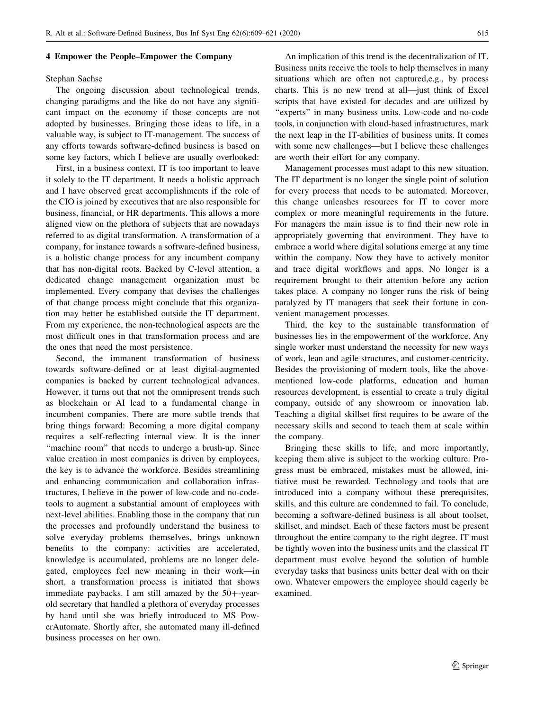#### 4 Empower the People–Empower the Company

#### Stephan Sachse

The ongoing discussion about technological trends, changing paradigms and the like do not have any significant impact on the economy if those concepts are not adopted by businesses. Bringing those ideas to life, in a valuable way, is subject to IT-management. The success of any efforts towards software-defined business is based on some key factors, which I believe are usually overlooked:

First, in a business context, IT is too important to leave it solely to the IT department. It needs a holistic approach and I have observed great accomplishments if the role of the CIO is joined by executives that are also responsible for business, financial, or HR departments. This allows a more aligned view on the plethora of subjects that are nowadays referred to as digital transformation. A transformation of a company, for instance towards a software-defined business, is a holistic change process for any incumbent company that has non-digital roots. Backed by C-level attention, a dedicated change management organization must be implemented. Every company that devises the challenges of that change process might conclude that this organization may better be established outside the IT department. From my experience, the non-technological aspects are the most difficult ones in that transformation process and are the ones that need the most persistence.

Second, the immanent transformation of business towards software-defined or at least digital-augmented companies is backed by current technological advances. However, it turns out that not the omnipresent trends such as blockchain or AI lead to a fundamental change in incumbent companies. There are more subtle trends that bring things forward: Becoming a more digital company requires a self-reflecting internal view. It is the inner "machine room" that needs to undergo a brush-up. Since value creation in most companies is driven by employees, the key is to advance the workforce. Besides streamlining and enhancing communication and collaboration infrastructures, I believe in the power of low-code and no-codetools to augment a substantial amount of employees with next-level abilities. Enabling those in the company that run the processes and profoundly understand the business to solve everyday problems themselves, brings unknown benefits to the company: activities are accelerated, knowledge is accumulated, problems are no longer delegated, employees feel new meaning in their work—in short, a transformation process is initiated that shows immediate paybacks. I am still amazed by the  $50+$ -yearold secretary that handled a plethora of everyday processes by hand until she was briefly introduced to MS PowerAutomate. Shortly after, she automated many ill-defined business processes on her own.

An implication of this trend is the decentralization of IT. Business units receive the tools to help themselves in many situations which are often not captured,e.g., by process charts. This is no new trend at all—just think of Excel scripts that have existed for decades and are utilized by "experts" in many business units. Low-code and no-code tools, in conjunction with cloud-based infrastructures, mark the next leap in the IT-abilities of business units. It comes with some new challenges—but I believe these challenges are worth their effort for any company.

Management processes must adapt to this new situation. The IT department is no longer the single point of solution for every process that needs to be automated. Moreover, this change unleashes resources for IT to cover more complex or more meaningful requirements in the future. For managers the main issue is to find their new role in appropriately governing that environment. They have to embrace a world where digital solutions emerge at any time within the company. Now they have to actively monitor and trace digital workflows and apps. No longer is a requirement brought to their attention before any action takes place. A company no longer runs the risk of being paralyzed by IT managers that seek their fortune in convenient management processes.

Third, the key to the sustainable transformation of businesses lies in the empowerment of the workforce. Any single worker must understand the necessity for new ways of work, lean and agile structures, and customer-centricity. Besides the provisioning of modern tools, like the abovementioned low-code platforms, education and human resources development, is essential to create a truly digital company, outside of any showroom or innovation lab. Teaching a digital skillset first requires to be aware of the necessary skills and second to teach them at scale within the company.

Bringing these skills to life, and more importantly, keeping them alive is subject to the working culture. Progress must be embraced, mistakes must be allowed, initiative must be rewarded. Technology and tools that are introduced into a company without these prerequisites, skills, and this culture are condemned to fail. To conclude, becoming a software-defined business is all about toolset, skillset, and mindset. Each of these factors must be present throughout the entire company to the right degree. IT must be tightly woven into the business units and the classical IT department must evolve beyond the solution of humble everyday tasks that business units better deal with on their own. Whatever empowers the employee should eagerly be examined.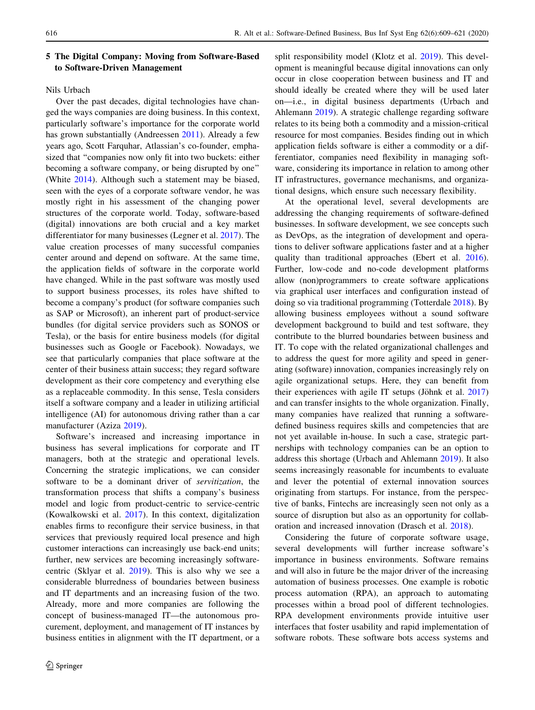# 5 The Digital Company: Moving from Software-Based to Software-Driven Management

# Nils Urbach

Over the past decades, digital technologies have changed the ways companies are doing business. In this context, particularly software's importance for the corporate world has grown substantially (Andreessen [2011\)](#page-11-0). Already a few years ago, Scott Farquhar, Atlassian's co-founder, emphasized that ''companies now only fit into two buckets: either becoming a software company, or being disrupted by one'' (White [2014\)](#page-12-0). Although such a statement may be biased, seen with the eyes of a corporate software vendor, he was mostly right in his assessment of the changing power structures of the corporate world. Today, software-based (digital) innovations are both crucial and a key market differentiator for many businesses (Legner et al. [2017](#page-12-0)). The value creation processes of many successful companies center around and depend on software. At the same time, the application fields of software in the corporate world have changed. While in the past software was mostly used to support business processes, its roles have shifted to become a company's product (for software companies such as SAP or Microsoft), an inherent part of product-service bundles (for digital service providers such as SONOS or Tesla), or the basis for entire business models (for digital businesses such as Google or Facebook). Nowadays, we see that particularly companies that place software at the center of their business attain success; they regard software development as their core competency and everything else as a replaceable commodity. In this sense, Tesla considers itself a software company and a leader in utilizing artificial intelligence (AI) for autonomous driving rather than a car manufacturer (Aziza [2019\)](#page-11-0).

Software's increased and increasing importance in business has several implications for corporate and IT managers, both at the strategic and operational levels. Concerning the strategic implications, we can consider software to be a dominant driver of servitization, the transformation process that shifts a company's business model and logic from product-centric to service-centric (Kowalkowski et al. [2017](#page-11-0)). In this context, digitalization enables firms to reconfigure their service business, in that services that previously required local presence and high customer interactions can increasingly use back-end units; further, new services are becoming increasingly softwarecentric (Sklyar et al. [2019\)](#page-12-0). This is also why we see a considerable blurredness of boundaries between business and IT departments and an increasing fusion of the two. Already, more and more companies are following the concept of business-managed IT—the autonomous procurement, deployment, and management of IT instances by business entities in alignment with the IT department, or a split responsibility model (Klotz et al. [2019](#page-11-0)). This development is meaningful because digital innovations can only occur in close cooperation between business and IT and should ideally be created where they will be used later on—i.e., in digital business departments (Urbach and Ahlemann [2019\)](#page-12-0). A strategic challenge regarding software relates to its being both a commodity and a mission-critical resource for most companies. Besides finding out in which application fields software is either a commodity or a differentiator, companies need flexibility in managing software, considering its importance in relation to among other IT infrastructures, governance mechanisms, and organizational designs, which ensure such necessary flexibility.

At the operational level, several developments are addressing the changing requirements of software-defined businesses. In software development, we see concepts such as DevOps, as the integration of development and operations to deliver software applications faster and at a higher quality than traditional approaches (Ebert et al. [2016](#page-11-0)). Further, low-code and no-code development platforms allow (non)programmers to create software applications via graphical user interfaces and configuration instead of doing so via traditional programming (Totterdale [2018](#page-12-0)). By allowing business employees without a sound software development background to build and test software, they contribute to the blurred boundaries between business and IT. To cope with the related organizational challenges and to address the quest for more agility and speed in generating (software) innovation, companies increasingly rely on agile organizational setups. Here, they can benefit from their experiences with agile IT setups (Jöhnk et al.  $2017$ ) and can transfer insights to the whole organization. Finally, many companies have realized that running a softwaredefined business requires skills and competencies that are not yet available in-house. In such a case, strategic partnerships with technology companies can be an option to address this shortage (Urbach and Ahlemann [2019](#page-12-0)). It also seems increasingly reasonable for incumbents to evaluate and lever the potential of external innovation sources originating from startups. For instance, from the perspective of banks, Fintechs are increasingly seen not only as a source of disruption but also as an opportunity for collaboration and increased innovation (Drasch et al. [2018\)](#page-11-0).

Considering the future of corporate software usage, several developments will further increase software's importance in business environments. Software remains and will also in future be the major driver of the increasing automation of business processes. One example is robotic process automation (RPA), an approach to automating processes within a broad pool of different technologies. RPA development environments provide intuitive user interfaces that foster usability and rapid implementation of software robots. These software bots access systems and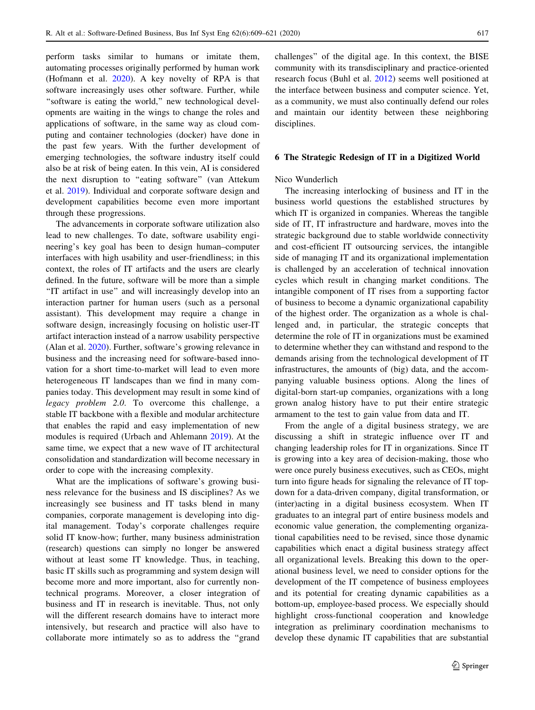perform tasks similar to humans or imitate them, automating processes originally performed by human work (Hofmann et al. [2020](#page-11-0)). A key novelty of RPA is that software increasingly uses other software. Further, while "software is eating the world," new technological developments are waiting in the wings to change the roles and applications of software, in the same way as cloud computing and container technologies (docker) have done in the past few years. With the further development of emerging technologies, the software industry itself could also be at risk of being eaten. In this vein, AI is considered the next disruption to ''eating software'' (van Attekum et al. [2019\)](#page-12-0). Individual and corporate software design and development capabilities become even more important through these progressions.

The advancements in corporate software utilization also lead to new challenges. To date, software usability engineering's key goal has been to design human–computer interfaces with high usability and user-friendliness; in this context, the roles of IT artifacts and the users are clearly defined. In the future, software will be more than a simple ''IT artifact in use'' and will increasingly develop into an interaction partner for human users (such as a personal assistant). This development may require a change in software design, increasingly focusing on holistic user-IT artifact interaction instead of a narrow usability perspective (Alan et al. [2020](#page-11-0)). Further, software's growing relevance in business and the increasing need for software-based innovation for a short time-to-market will lead to even more heterogeneous IT landscapes than we find in many companies today. This development may result in some kind of legacy problem 2.0. To overcome this challenge, a stable IT backbone with a flexible and modular architecture that enables the rapid and easy implementation of new modules is required (Urbach and Ahlemann [2019](#page-12-0)). At the same time, we expect that a new wave of IT architectural consolidation and standardization will become necessary in order to cope with the increasing complexity.

What are the implications of software's growing business relevance for the business and IS disciplines? As we increasingly see business and IT tasks blend in many companies, corporate management is developing into digital management. Today's corporate challenges require solid IT know-how; further, many business administration (research) questions can simply no longer be answered without at least some IT knowledge. Thus, in teaching, basic IT skills such as programming and system design will become more and more important, also for currently nontechnical programs. Moreover, a closer integration of business and IT in research is inevitable. Thus, not only will the different research domains have to interact more intensively, but research and practice will also have to collaborate more intimately so as to address the ''grand challenges'' of the digital age. In this context, the BISE community with its transdisciplinary and practice-oriented research focus (Buhl et al. [2012](#page-11-0)) seems well positioned at the interface between business and computer science. Yet, as a community, we must also continually defend our roles and maintain our identity between these neighboring disciplines.

### 6 The Strategic Redesign of IT in a Digitized World

## Nico Wunderlich

The increasing interlocking of business and IT in the business world questions the established structures by which IT is organized in companies. Whereas the tangible side of IT, IT infrastructure and hardware, moves into the strategic background due to stable worldwide connectivity and cost-efficient IT outsourcing services, the intangible side of managing IT and its organizational implementation is challenged by an acceleration of technical innovation cycles which result in changing market conditions. The intangible component of IT rises from a supporting factor of business to become a dynamic organizational capability of the highest order. The organization as a whole is challenged and, in particular, the strategic concepts that determine the role of IT in organizations must be examined to determine whether they can withstand and respond to the demands arising from the technological development of IT infrastructures, the amounts of (big) data, and the accompanying valuable business options. Along the lines of digital-born start-up companies, organizations with a long grown analog history have to put their entire strategic armament to the test to gain value from data and IT.

From the angle of a digital business strategy, we are discussing a shift in strategic influence over IT and changing leadership roles for IT in organizations. Since IT is growing into a key area of decision-making, those who were once purely business executives, such as CEOs, might turn into figure heads for signaling the relevance of IT topdown for a data-driven company, digital transformation, or (inter)acting in a digital business ecosystem. When IT graduates to an integral part of entire business models and economic value generation, the complementing organizational capabilities need to be revised, since those dynamic capabilities which enact a digital business strategy affect all organizational levels. Breaking this down to the operational business level, we need to consider options for the development of the IT competence of business employees and its potential for creating dynamic capabilities as a bottom-up, employee-based process. We especially should highlight cross-functional cooperation and knowledge integration as preliminary coordination mechanisms to develop these dynamic IT capabilities that are substantial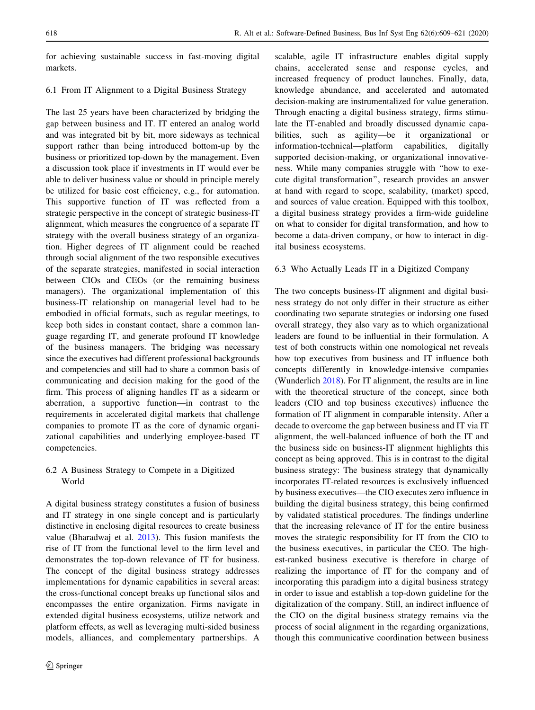for achieving sustainable success in fast-moving digital markets.

# 6.1 From IT Alignment to a Digital Business Strategy

The last 25 years have been characterized by bridging the gap between business and IT. IT entered an analog world and was integrated bit by bit, more sideways as technical support rather than being introduced bottom-up by the business or prioritized top-down by the management. Even a discussion took place if investments in IT would ever be able to deliver business value or should in principle merely be utilized for basic cost efficiency, e.g., for automation. This supportive function of IT was reflected from a strategic perspective in the concept of strategic business-IT alignment, which measures the congruence of a separate IT strategy with the overall business strategy of an organization. Higher degrees of IT alignment could be reached through social alignment of the two responsible executives of the separate strategies, manifested in social interaction between CIOs and CEOs (or the remaining business managers). The organizational implementation of this business-IT relationship on managerial level had to be embodied in official formats, such as regular meetings, to keep both sides in constant contact, share a common language regarding IT, and generate profound IT knowledge of the business managers. The bridging was necessary since the executives had different professional backgrounds and competencies and still had to share a common basis of communicating and decision making for the good of the firm. This process of aligning handles IT as a sidearm or aberration, a supportive function—in contrast to the requirements in accelerated digital markets that challenge companies to promote IT as the core of dynamic organizational capabilities and underlying employee-based IT competencies.

# 6.2 A Business Strategy to Compete in a Digitized World

A digital business strategy constitutes a fusion of business and IT strategy in one single concept and is particularly distinctive in enclosing digital resources to create business value (Bharadwaj et al. [2013](#page-11-0)). This fusion manifests the rise of IT from the functional level to the firm level and demonstrates the top-down relevance of IT for business. The concept of the digital business strategy addresses implementations for dynamic capabilities in several areas: the cross-functional concept breaks up functional silos and encompasses the entire organization. Firms navigate in extended digital business ecosystems, utilize network and platform effects, as well as leveraging multi-sided business models, alliances, and complementary partnerships. A scalable, agile IT infrastructure enables digital supply chains, accelerated sense and response cycles, and increased frequency of product launches. Finally, data, knowledge abundance, and accelerated and automated decision-making are instrumentalized for value generation. Through enacting a digital business strategy, firms stimulate the IT-enabled and broadly discussed dynamic capabilities, such as agility—be it organizational or information-technical—platform capabilities, digitally supported decision-making, or organizational innovativeness. While many companies struggle with ''how to execute digital transformation'', research provides an answer at hand with regard to scope, scalability, (market) speed, and sources of value creation. Equipped with this toolbox, a digital business strategy provides a firm-wide guideline on what to consider for digital transformation, and how to become a data-driven company, or how to interact in digital business ecosystems.

### 6.3 Who Actually Leads IT in a Digitized Company

The two concepts business-IT alignment and digital business strategy do not only differ in their structure as either coordinating two separate strategies or indorsing one fused overall strategy, they also vary as to which organizational leaders are found to be influential in their formulation. A test of both constructs within one nomological net reveals how top executives from business and IT influence both concepts differently in knowledge-intensive companies (Wunderlich [2018](#page-12-0)). For IT alignment, the results are in line with the theoretical structure of the concept, since both leaders (CIO and top business executives) influence the formation of IT alignment in comparable intensity. After a decade to overcome the gap between business and IT via IT alignment, the well-balanced influence of both the IT and the business side on business-IT alignment highlights this concept as being approved. This is in contrast to the digital business strategy: The business strategy that dynamically incorporates IT-related resources is exclusively influenced by business executives—the CIO executes zero influence in building the digital business strategy, this being confirmed by validated statistical procedures. The findings underline that the increasing relevance of IT for the entire business moves the strategic responsibility for IT from the CIO to the business executives, in particular the CEO. The highest-ranked business executive is therefore in charge of realizing the importance of IT for the company and of incorporating this paradigm into a digital business strategy in order to issue and establish a top-down guideline for the digitalization of the company. Still, an indirect influence of the CIO on the digital business strategy remains via the process of social alignment in the regarding organizations, though this communicative coordination between business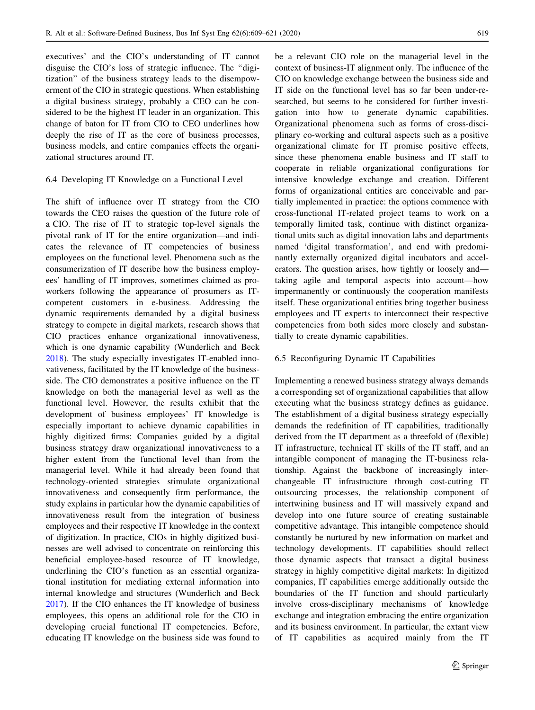executives' and the CIO's understanding of IT cannot disguise the CIO's loss of strategic influence. The ''digitization'' of the business strategy leads to the disempowerment of the CIO in strategic questions. When establishing a digital business strategy, probably a CEO can be considered to be the highest IT leader in an organization. This change of baton for IT from CIO to CEO underlines how deeply the rise of IT as the core of business processes, business models, and entire companies effects the organizational structures around IT.

### 6.4 Developing IT Knowledge on a Functional Level

The shift of influence over IT strategy from the CIO towards the CEO raises the question of the future role of a CIO. The rise of IT to strategic top-level signals the pivotal rank of IT for the entire organization—and indicates the relevance of IT competencies of business employees on the functional level. Phenomena such as the consumerization of IT describe how the business employees' handling of IT improves, sometimes claimed as proworkers following the appearance of prosumers as ITcompetent customers in e-business. Addressing the dynamic requirements demanded by a digital business strategy to compete in digital markets, research shows that CIO practices enhance organizational innovativeness, which is one dynamic capability (Wunderlich and Beck [2018\)](#page-12-0). The study especially investigates IT-enabled innovativeness, facilitated by the IT knowledge of the businessside. The CIO demonstrates a positive influence on the IT knowledge on both the managerial level as well as the functional level. However, the results exhibit that the development of business employees' IT knowledge is especially important to achieve dynamic capabilities in highly digitized firms: Companies guided by a digital business strategy draw organizational innovativeness to a higher extent from the functional level than from the managerial level. While it had already been found that technology-oriented strategies stimulate organizational innovativeness and consequently firm performance, the study explains in particular how the dynamic capabilities of innovativeness result from the integration of business employees and their respective IT knowledge in the context of digitization. In practice, CIOs in highly digitized businesses are well advised to concentrate on reinforcing this beneficial employee-based resource of IT knowledge, underlining the CIO's function as an essential organizational institution for mediating external information into internal knowledge and structures (Wunderlich and Beck [2017\)](#page-12-0). If the CIO enhances the IT knowledge of business employees, this opens an additional role for the CIO in developing crucial functional IT competencies. Before, educating IT knowledge on the business side was found to

be a relevant CIO role on the managerial level in the context of business-IT alignment only. The influence of the CIO on knowledge exchange between the business side and IT side on the functional level has so far been under-researched, but seems to be considered for further investigation into how to generate dynamic capabilities. Organizational phenomena such as forms of cross-disciplinary co-working and cultural aspects such as a positive organizational climate for IT promise positive effects, since these phenomena enable business and IT staff to cooperate in reliable organizational configurations for intensive knowledge exchange and creation. Different forms of organizational entities are conceivable and partially implemented in practice: the options commence with cross-functional IT-related project teams to work on a temporally limited task, continue with distinct organizational units such as digital innovation labs and departments named 'digital transformation', and end with predominantly externally organized digital incubators and accelerators. The question arises, how tightly or loosely and taking agile and temporal aspects into account—how impermanently or continuously the cooperation manifests itself. These organizational entities bring together business employees and IT experts to interconnect their respective competencies from both sides more closely and substantially to create dynamic capabilities.

# 6.5 Reconfiguring Dynamic IT Capabilities

Implementing a renewed business strategy always demands a corresponding set of organizational capabilities that allow executing what the business strategy defines as guidance. The establishment of a digital business strategy especially demands the redefinition of IT capabilities, traditionally derived from the IT department as a threefold of (flexible) IT infrastructure, technical IT skills of the IT staff, and an intangible component of managing the IT-business relationship. Against the backbone of increasingly interchangeable IT infrastructure through cost-cutting IT outsourcing processes, the relationship component of intertwining business and IT will massively expand and develop into one future source of creating sustainable competitive advantage. This intangible competence should constantly be nurtured by new information on market and technology developments. IT capabilities should reflect those dynamic aspects that transact a digital business strategy in highly competitive digital markets: In digitized companies, IT capabilities emerge additionally outside the boundaries of the IT function and should particularly involve cross-disciplinary mechanisms of knowledge exchange and integration embracing the entire organization and its business environment. In particular, the extant view of IT capabilities as acquired mainly from the IT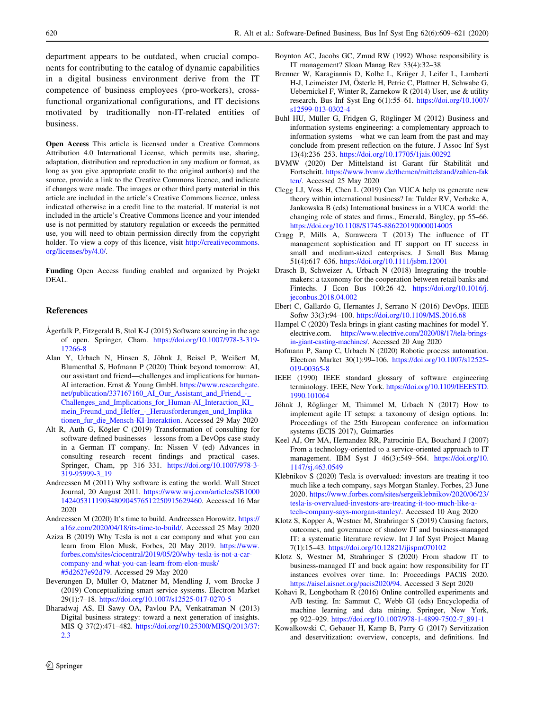<span id="page-11-0"></span>department appears to be outdated, when crucial components for contributing to the catalog of dynamic capabilities in a digital business environment derive from the IT competence of business employees (pro-workers), crossfunctional organizational configurations, and IT decisions motivated by traditionally non-IT-related entities of business.

Open Access This article is licensed under a Creative Commons Attribution 4.0 International License, which permits use, sharing, adaptation, distribution and reproduction in any medium or format, as long as you give appropriate credit to the original author(s) and the source, provide a link to the Creative Commons licence, and indicate if changes were made. The images or other third party material in this article are included in the article's Creative Commons licence, unless indicated otherwise in a credit line to the material. If material is not included in the article's Creative Commons licence and your intended use is not permitted by statutory regulation or exceeds the permitted use, you will need to obtain permission directly from the copyright holder. To view a copy of this licence, visit [http://creativecommons.](http://creativecommons.org/licenses/by/4.0/) [org/licenses/by/4.0/.](http://creativecommons.org/licenses/by/4.0/)

Funding Open Access funding enabled and organized by Projekt DEAL.

### References

- Agerfalk P, Fitzgerald B, Stol K-J (2015) Software sourcing in the age of open. Springer, Cham. [https://doi.org/10.1007/978-3-319-](https://doi.org/10.1007/978-3-319-17266-8) [17266-8](https://doi.org/10.1007/978-3-319-17266-8)
- Alan Y, Urbach N, Hinsen S, Jöhnk J, Beisel P, Weißert M, Blumenthal S, Hofmann P (2020) Think beyond tomorrow: AI, our assistant and friend—challenges and implications for human-AI interaction. Ernst & Young GmbH. [https://www.researchgate.](https://www.researchgate.net/publication/337167160_AI_Our_Assistant_and_Friend_-_Challenges_and_Implications_for_Human-AI_Interaction_KI_mein_Freund_und_Helfer_-_Herausforderungen_und_Implikationen_fur_die_Mensch-KI-Interaktion) [net/publication/337167160\\_AI\\_Our\\_Assistant\\_and\\_Friend\\_-\\_](https://www.researchgate.net/publication/337167160_AI_Our_Assistant_and_Friend_-_Challenges_and_Implications_for_Human-AI_Interaction_KI_mein_Freund_und_Helfer_-_Herausforderungen_und_Implikationen_fur_die_Mensch-KI-Interaktion) [Challenges\\_and\\_Implications\\_for\\_Human-AI\\_Interaction\\_KI\\_](https://www.researchgate.net/publication/337167160_AI_Our_Assistant_and_Friend_-_Challenges_and_Implications_for_Human-AI_Interaction_KI_mein_Freund_und_Helfer_-_Herausforderungen_und_Implikationen_fur_die_Mensch-KI-Interaktion) [mein\\_Freund\\_und\\_Helfer\\_-\\_Herausforderungen\\_und\\_Implika](https://www.researchgate.net/publication/337167160_AI_Our_Assistant_and_Friend_-_Challenges_and_Implications_for_Human-AI_Interaction_KI_mein_Freund_und_Helfer_-_Herausforderungen_und_Implikationen_fur_die_Mensch-KI-Interaktion) [tionen\\_fur\\_die\\_Mensch-KI-Interaktion.](https://www.researchgate.net/publication/337167160_AI_Our_Assistant_and_Friend_-_Challenges_and_Implications_for_Human-AI_Interaction_KI_mein_Freund_und_Helfer_-_Herausforderungen_und_Implikationen_fur_die_Mensch-KI-Interaktion) Accessed 29 May 2020
- Alt R, Auth G, Kögler C (2019) Transformation of consulting for software-defined businesses—lessons from a DevOps case study in a German IT company. In: Nissen V (ed) Advances in consulting research—recent findings and practical cases. Springer, Cham, pp 316–331. [https://doi.org/10.1007/978-3-](https://doi.org/10.1007/978-3-319-95999-3_19) [319-95999-3\\_19](https://doi.org/10.1007/978-3-319-95999-3_19)
- Andreessen M (2011) Why software is eating the world. Wall Street Journal, 20 August 2011. [https://www.wsj.com/articles/SB1000](https://www.wsj.com/articles/SB10001424053111903480904576512250915629460) [1424053111903480904576512250915629460.](https://www.wsj.com/articles/SB10001424053111903480904576512250915629460) Accessed 16 Mar 2020
- Andreessen M (2020) It's time to build. Andreessen Horowitz. [https://](https://a16z.com/2020/04/18/its-time-to-build/) [a16z.com/2020/04/18/its-time-to-build/](https://a16z.com/2020/04/18/its-time-to-build/). Accessed 25 May 2020
- Aziza B (2019) Why Tesla is not a car company and what you can learn from Elon Musk, Forbes, 20 May 2019. [https://www.](https://www.forbes.com/sites/ciocentral/2019/05/20/why-tesla-is-not-a-car-company-and-what-you-can-learn-from-elon-musk/#5d2627e92d79) [forbes.com/sites/ciocentral/2019/05/20/why-tesla-is-not-a-car](https://www.forbes.com/sites/ciocentral/2019/05/20/why-tesla-is-not-a-car-company-and-what-you-can-learn-from-elon-musk/#5d2627e92d79)[company-and-what-you-can-learn-from-elon-musk/](https://www.forbes.com/sites/ciocentral/2019/05/20/why-tesla-is-not-a-car-company-and-what-you-can-learn-from-elon-musk/#5d2627e92d79) [#5d2627e92d79.](https://www.forbes.com/sites/ciocentral/2019/05/20/why-tesla-is-not-a-car-company-and-what-you-can-learn-from-elon-musk/#5d2627e92d79) Accessed 29 May 2020
- Beverungen D, Müller O, Matzner M, Mendling J, vom Brocke J (2019) Conceptualizing smart service systems. Electron Market 29(1):7–18. <https://doi.org/10.1007/s12525-017-0270-5>
- Bharadwaj AS, El Sawy OA, Pavlou PA, Venkatraman N (2013) Digital business strategy: toward a next generation of insights. MIS Q 37(2):471–482. [https://doi.org/10.25300/MISQ/2013/37:](https://doi.org/10.25300/MISQ/2013/37:2.3) [2.3](https://doi.org/10.25300/MISQ/2013/37:2.3)
- Boynton AC, Jacobs GC, Zmud RW (1992) Whose responsibility is IT management? Sloan Manag Rev 33(4):32–38
- Brenner W, Karagiannis D, Kolbe L, Krüger J, Leifer L, Lamberti H-J, Leimeister JM, Österle H, Petrie C, Plattner H, Schwabe G, Uebernickel F, Winter R, Zarnekow R (2014) User, use & utility research. Bus Inf Syst Eng 6(1):55–61. [https://doi.org/10.1007/](https://doi.org/10.1007/s12599-013-0302-4) [s12599-013-0302-4](https://doi.org/10.1007/s12599-013-0302-4)
- Buhl HU, Müller G, Fridgen G, Röglinger M (2012) Business and information systems engineering: a complementary approach to information systems—what we can learn from the past and may conclude from present reflection on the future. J Assoc Inf Syst 13(4):236–253. <https://doi.org/10.17705/1jais.00292>
- BVMW (2020) Der Mittelstand ist Garant für Stabilität und Fortschritt. [https://www.bvmw.de/themen/mittelstand/zahlen-fak](https://www.bvmw.de/themen/mittelstand/zahlen-fakten/) [ten/.](https://www.bvmw.de/themen/mittelstand/zahlen-fakten/) Accessed 25 May 2020
- Clegg LJ, Voss H, Chen L (2019) Can VUCA help us generate new theory within international business? In: Tulder RV, Verbeke A, Jankowska B (eds) International business in a VUCA world: the changing role of states and firms., Emerald, Bingley, pp 55–66. <https://doi.org/10.1108/S1745-886220190000014005>
- Cragg P, Mills A, Suraweera T (2013) The influence of IT management sophistication and IT support on IT success in small and medium-sized enterprises. J Small Bus Manag 51(4):617–636. <https://doi.org/10.1111/jsbm.12001>
- Drasch B, Schweizer A, Urbach N (2018) Integrating the troublemakers: a taxonomy for the cooperation between retail banks and Fintechs. J Econ Bus 100:26–42. [https://doi.org/10.1016/j.](https://doi.org/10.1016/j.jeconbus.2018.04.002) [jeconbus.2018.04.002](https://doi.org/10.1016/j.jeconbus.2018.04.002)
- Ebert C, Gallardo G, Hernantes J, Serrano N (2016) DevOps. IEEE Softw 33(3):94–100. <https://doi.org/10.1109/MS.2016.68>
- Hampel C (2020) Tesla brings in giant casting machines for model Y. electrive.com. [https://www.electrive.com/2020/08/17/tela-brings](https://www.electrive.com/2020/08/17/tela-brings-in-giant-casting-machines/)[in-giant-casting-machines/](https://www.electrive.com/2020/08/17/tela-brings-in-giant-casting-machines/). Accessed 20 Aug 2020
- Hofmann P, Samp C, Urbach N (2020) Robotic process automation. Electron Market 30(1):99–106. [https://doi.org/10.1007/s12525-](https://doi.org/10.1007/s12525-019-00365-8) [019-00365-8](https://doi.org/10.1007/s12525-019-00365-8)
- IEEE (1990) IEEE standard glossary of software engineering terminology. IEEE, New York. [https://doi.org/10.1109/IEEESTD.](https://doi.org/10.1109/IEEESTD.1990.101064) [1990.101064](https://doi.org/10.1109/IEEESTD.1990.101064)
- Jöhnk J, Röglinger M, Thimmel M, Urbach N (2017) How to implement agile IT setups: a taxonomy of design options. In: Proceedings of the 25th European conference on information systems (ECIS 2017), Guimarães
- Keel AJ, Orr MA, Hernandez RR, Patrocinio EA, Bouchard J (2007) From a technology-oriented to a service-oriented approach to IT management. IBM Syst J 46(3):549–564. [https://doi.org/10.](https://doi.org/10.1147/sj.463.0549) [1147/sj.463.0549](https://doi.org/10.1147/sj.463.0549)
- Klebnikov S (2020) Tesla is overvalued: investors are treating it too much like a tech company, says Morgan Stanley. Forbes, 23 June 2020. [https://www.forbes.com/sites/sergeiklebnikov/2020/06/23/](https://www.forbes.com/sites/sergeiklebnikov/2020/06/23/tesla-is-overvalued-investors-are-treating-it-too-much-like-a-tech-company-says-morgan-stanley/) [tesla-is-overvalued-investors-are-treating-it-too-much-like-a](https://www.forbes.com/sites/sergeiklebnikov/2020/06/23/tesla-is-overvalued-investors-are-treating-it-too-much-like-a-tech-company-says-morgan-stanley/)[tech-company-says-morgan-stanley/.](https://www.forbes.com/sites/sergeiklebnikov/2020/06/23/tesla-is-overvalued-investors-are-treating-it-too-much-like-a-tech-company-says-morgan-stanley/) Accessed 10 Aug 2020
- Klotz S, Kopper A, Westner M, Strahringer S (2019) Causing factors, outcomes, and governance of shadow IT and business-managed IT: a systematic literature review. Int J Inf Syst Project Manag 7(1):15–43. <https://doi.org/10.12821/ijispm070102>
- Klotz S, Westner M, Strahringer S (2020) From shadow IT to business-managed IT and back again: how responsibility for IT instances evolves over time. In: Proceedings PACIS 2020. <https://aisel.aisnet.org/pacis2020/94>. Accessed 3 Sept 2020
- Kohavi R, Longbotham R (2016) Online controlled experiments and A/B testing. In: Sammut C, Webb GI (eds) Encyclopedia of machine learning and data mining. Springer, New York, pp 922–929. [https://doi.org/10.1007/978-1-4899-7502-7\\_891-1](https://doi.org/10.1007/978-1-4899-7502-7_891-1)
- Kowalkowski C, Gebauer H, Kamp B, Parry G (2017) Servitization and deservitization: overview, concepts, and definitions. Ind